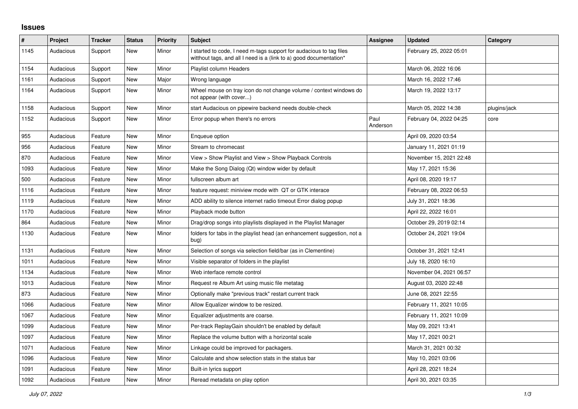## **Issues**

| $\vert$ # | Project   | <b>Tracker</b> | <b>Status</b> | <b>Priority</b> | Subject                                                                                                                                   | <b>Assignee</b>  | <b>Updated</b>          | Category     |
|-----------|-----------|----------------|---------------|-----------------|-------------------------------------------------------------------------------------------------------------------------------------------|------------------|-------------------------|--------------|
| 1145      | Audacious | Support        | New           | Minor           | I started to code, I need m-tags support for audacious to tag files<br>witthout tags, and all I need is a (link to a) good documentation* |                  | February 25, 2022 05:01 |              |
| 1154      | Audacious | Support        | New           | Minor           | Playlist column Headers                                                                                                                   |                  | March 06, 2022 16:06    |              |
| 1161      | Audacious | Support        | <b>New</b>    | Major           | Wrong language                                                                                                                            |                  | March 16, 2022 17:46    |              |
| 1164      | Audacious | Support        | <b>New</b>    | Minor           | Wheel mouse on tray icon do not change volume / context windows do<br>not appear (with cover)                                             |                  | March 19, 2022 13:17    |              |
| 1158      | Audacious | Support        | New           | Minor           | start Audacious on pipewire backend needs double-check                                                                                    |                  | March 05, 2022 14:38    | plugins/jack |
| 1152      | Audacious | Support        | New           | Minor           | Error popup when there's no errors                                                                                                        | Paul<br>Anderson | February 04, 2022 04:25 | core         |
| 955       | Audacious | Feature        | <b>New</b>    | Minor           | Enqueue option                                                                                                                            |                  | April 09, 2020 03:54    |              |
| 956       | Audacious | Feature        | <b>New</b>    | Minor           | Stream to chromecast                                                                                                                      |                  | January 11, 2021 01:19  |              |
| 870       | Audacious | Feature        | <b>New</b>    | Minor           | View > Show Playlist and View > Show Playback Controls                                                                                    |                  | November 15, 2021 22:48 |              |
| 1093      | Audacious | Feature        | <b>New</b>    | Minor           | Make the Song Dialog (Qt) window wider by default                                                                                         |                  | May 17, 2021 15:36      |              |
| 500       | Audacious | Feature        | New           | Minor           | fullscreen album art                                                                                                                      |                  | April 08, 2020 19:17    |              |
| 1116      | Audacious | Feature        | New           | Minor           | feature request: miniview mode with QT or GTK interace                                                                                    |                  | February 08, 2022 06:53 |              |
| 1119      | Audacious | Feature        | <b>New</b>    | Minor           | ADD ability to silence internet radio timeout Error dialog popup                                                                          |                  | July 31, 2021 18:36     |              |
| 1170      | Audacious | Feature        | <b>New</b>    | Minor           | Playback mode button                                                                                                                      |                  | April 22, 2022 16:01    |              |
| 864       | Audacious | Feature        | New           | Minor           | Drag/drop songs into playlists displayed in the Playlist Manager                                                                          |                  | October 29, 2019 02:14  |              |
| 1130      | Audacious | Feature        | New           | Minor           | folders for tabs in the playlist head (an enhancement suggestion, not a<br>bug)                                                           |                  | October 24, 2021 19:04  |              |
| 1131      | Audacious | Feature        | New           | Minor           | Selection of songs via selection field/bar (as in Clementine)                                                                             |                  | October 31, 2021 12:41  |              |
| 1011      | Audacious | Feature        | <b>New</b>    | Minor           | Visible separator of folders in the playlist                                                                                              |                  | July 18, 2020 16:10     |              |
| 1134      | Audacious | Feature        | New           | Minor           | Web interface remote control                                                                                                              |                  | November 04, 2021 06:57 |              |
| 1013      | Audacious | Feature        | New           | Minor           | Request re Album Art using music file metatag                                                                                             |                  | August 03, 2020 22:48   |              |
| 873       | Audacious | Feature        | New           | Minor           | Optionally make "previous track" restart current track                                                                                    |                  | June 08, 2021 22:55     |              |
| 1066      | Audacious | Feature        | <b>New</b>    | Minor           | Allow Equalizer window to be resized.                                                                                                     |                  | February 11, 2021 10:05 |              |
| 1067      | Audacious | Feature        | New           | Minor           | Equalizer adjustments are coarse.                                                                                                         |                  | February 11, 2021 10:09 |              |
| 1099      | Audacious | Feature        | New           | Minor           | Per-track ReplayGain shouldn't be enabled by default                                                                                      |                  | May 09, 2021 13:41      |              |
| 1097      | Audacious | Feature        | <b>New</b>    | Minor           | Replace the volume button with a horizontal scale                                                                                         |                  | May 17, 2021 00:21      |              |
| 1071      | Audacious | Feature        | New           | Minor           | Linkage could be improved for packagers.                                                                                                  |                  | March 31, 2021 00:32    |              |
| 1096      | Audacious | Feature        | New           | Minor           | Calculate and show selection stats in the status bar                                                                                      |                  | May 10, 2021 03:06      |              |
| 1091      | Audacious | Feature        | <b>New</b>    | Minor           | Built-in lyrics support                                                                                                                   |                  | April 28, 2021 18:24    |              |
| 1092      | Audacious | Feature        | New           | Minor           | Reread metadata on play option                                                                                                            |                  | April 30, 2021 03:35    |              |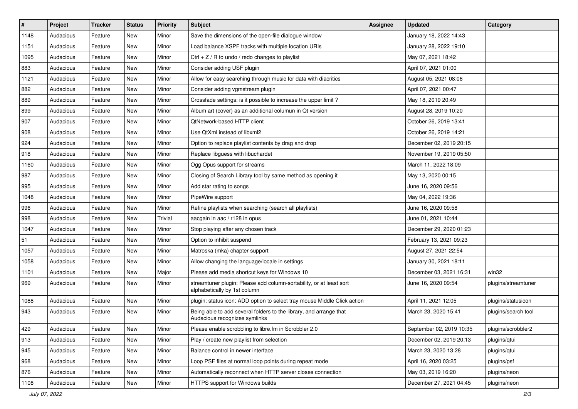| $\vert$ # | Project   | <b>Tracker</b> | <b>Status</b> | <b>Priority</b> | <b>Subject</b>                                                                                      | <b>Assignee</b> | <b>Updated</b>           | Category            |
|-----------|-----------|----------------|---------------|-----------------|-----------------------------------------------------------------------------------------------------|-----------------|--------------------------|---------------------|
| 1148      | Audacious | Feature        | New           | Minor           | Save the dimensions of the open-file dialogue window                                                |                 | January 18, 2022 14:43   |                     |
| 1151      | Audacious | Feature        | <b>New</b>    | Minor           | Load balance XSPF tracks with multiple location URIs                                                |                 | January 28, 2022 19:10   |                     |
| 1095      | Audacious | Feature        | New           | Minor           | Ctrl + $Z$ / R to undo / redo changes to playlist                                                   |                 | May 07, 2021 18:42       |                     |
| 883       | Audacious | Feature        | New           | Minor           | Consider adding USF plugin                                                                          |                 | April 07, 2021 01:00     |                     |
| 1121      | Audacious | Feature        | <b>New</b>    | Minor           | Allow for easy searching through music for data with diacritics                                     |                 | August 05, 2021 08:06    |                     |
| 882       | Audacious | Feature        | New           | Minor           | Consider adding vgmstream plugin                                                                    |                 | April 07, 2021 00:47     |                     |
| 889       | Audacious | Feature        | <b>New</b>    | Minor           | Crossfade settings: is it possible to increase the upper limit?                                     |                 | May 18, 2019 20:49       |                     |
| 899       | Audacious | Feature        | New           | Minor           | Album art (cover) as an additional columun in Qt version                                            |                 | August 28, 2019 10:20    |                     |
| 907       | Audacious | Feature        | New           | Minor           | QtNetwork-based HTTP client                                                                         |                 | October 26, 2019 13:41   |                     |
| 908       | Audacious | Feature        | New           | Minor           | Use QtXml instead of libxml2                                                                        |                 | October 26, 2019 14:21   |                     |
| 924       | Audacious | Feature        | New           | Minor           | Option to replace playlist contents by drag and drop                                                |                 | December 02, 2019 20:15  |                     |
| 918       | Audacious | Feature        | New           | Minor           | Replace libguess with libuchardet                                                                   |                 | November 19, 2019 05:50  |                     |
| 1160      | Audacious | Feature        | New           | Minor           | Ogg Opus support for streams                                                                        |                 | March 11, 2022 18:09     |                     |
| 987       | Audacious | Feature        | New           | Minor           | Closing of Search Library tool by same method as opening it                                         |                 | May 13, 2020 00:15       |                     |
| 995       | Audacious | Feature        | <b>New</b>    | Minor           | Add star rating to songs                                                                            |                 | June 16, 2020 09:56      |                     |
| 1048      | Audacious | Feature        | New           | Minor           | PipeWire support                                                                                    |                 | May 04, 2022 19:36       |                     |
| 996       | Audacious | Feature        | <b>New</b>    | Minor           | Refine playlists when searching (search all playlists)                                              |                 | June 16, 2020 09:58      |                     |
| 998       | Audacious | Feature        | New           | Trivial         | aacgain in aac / r128 in opus                                                                       |                 | June 01, 2021 10:44      |                     |
| 1047      | Audacious | Feature        | New           | Minor           | Stop playing after any chosen track                                                                 |                 | December 29, 2020 01:23  |                     |
| 51        | Audacious | Feature        | <b>New</b>    | Minor           | Option to inhibit suspend                                                                           |                 | February 13, 2021 09:23  |                     |
| 1057      | Audacious | Feature        | New           | Minor           | Matroska (mka) chapter support                                                                      |                 | August 27, 2021 22:54    |                     |
| 1058      | Audacious | Feature        | New           | Minor           | Allow changing the language/locale in settings                                                      |                 | January 30, 2021 18:11   |                     |
| 1101      | Audacious | Feature        | New           | Major           | Please add media shortcut keys for Windows 10                                                       |                 | December 03, 2021 16:31  | win32               |
| 969       | Audacious | Feature        | New           | Minor           | streamtuner plugin: Please add column-sortability, or at least sort<br>alphabetically by 1st column |                 | June 16, 2020 09:54      | plugins/streamtuner |
| 1088      | Audacious | Feature        | New           | Minor           | plugin: status icon: ADD option to select tray mouse Middle Click action                            |                 | April 11, 2021 12:05     | plugins/statusicon  |
| 943       | Audacious | Feature        | New           | Minor           | Being able to add several folders to the library, and arrange that<br>Audacious recognizes symlinks |                 | March 23, 2020 15:41     | plugins/search tool |
| 429       | Audacious | Feature        | New           | Minor           | Please enable scrobbling to libre.fm in Scrobbler 2.0                                               |                 | September 02, 2019 10:35 | plugins/scrobbler2  |
| 913       | Audacious | Feature        | New           | Minor           | Play / create new playlist from selection                                                           |                 | December 02, 2019 20:13  | plugins/qtui        |
| 945       | Audacious | Feature        | New           | Minor           | Balance control in newer interface                                                                  |                 | March 23, 2020 13:28     | plugins/qtui        |
| 968       | Audacious | Feature        | New           | Minor           | Loop PSF files at normal loop points during repeat mode                                             |                 | April 16, 2020 03:25     | plugins/psf         |
| 876       | Audacious | Feature        | New           | Minor           | Automatically reconnect when HTTP server closes connection                                          |                 | May 03, 2019 16:20       | plugins/neon        |
| 1108      | Audacious | Feature        | New           | Minor           | HTTPS support for Windows builds                                                                    |                 | December 27, 2021 04:45  | plugins/neon        |